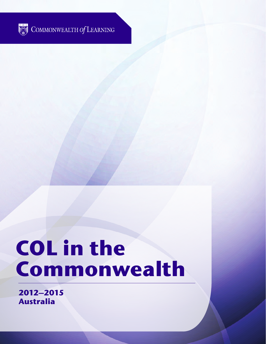

# **COL in the Commonwealth**

**2012–2015 Australia**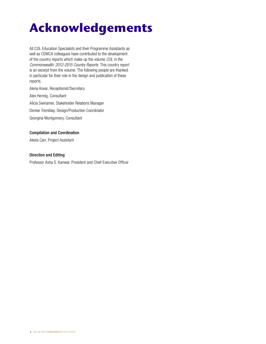# **Acknowledgements**

All COL Education Specialists and their Programme Assistants as well as CEMCA colleagues have contributed to the development of the country reports which make up the volume *COL in the Commonwealth: 2012-2015 Country Reports.* This country report is an excerpt from the volume. The following people are thanked in particular for their role in the design and publication of these reports.

Alena Kovar, Receptionist/Secretary

Alex Hennig, Consultant

Alicia Swinamer, Stakeholder Relations Manager

Denise Tremblay, Design/Production Coordinator

Georgina Montgomery, Consultant

#### Compilation and Coordination

Alexis Carr, Project Assistant

#### Direction and Editing

Professor Asha S. Kanwar, President and Chief Executive Officer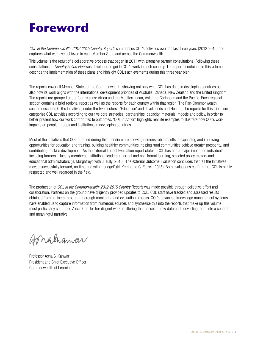## **Foreword**

*COL in the Commonwealth: 2012-2015 Country Reports* summarises COL's activities over the last three years (2012-2015) and captures what we have achieved in each Member State and across the Commonwealth.

This volume is the result of a collaborative process that began in 2011 with extensive partner consultations. Following these consultations, a *Country Action Plan* was developed to guide COL's work in each country. The reports contained in this volume describe the implementation of these plans and highlight COL's achievements during this three year plan.

The reports cover all Member States of the Commonwealth, showing not only what COL has done in developing countries but also how its work aligns with the international development priorities of Australia, Canada, New Zealand and the United Kingdom. The reports are grouped under four regions: Africa and the Mediterranean, Asia, the Caribbean and the Pacific. Each regional section contains a brief regional report as well as the reports for each country within that region. The Pan-Commonwealth section describes COL's Initiatives, under the two sectors: 'Education' and 'Livelihoods and Health'. The reports for this triennium categorise COL activities according to our five core strategies: partnerships, capacity, materials, models and policy, in order to better present how our work contributes to outcomes. 'COL in Action' highlights real life examples to illustrate how COL's work impacts on people, groups and institutions in developing countries.

Most of the initiatives that COL pursued during this triennium are showing demonstrable results in expanding and improving opportunities for education and training, building healthier communities, helping rural communities achieve greater prosperity, and contributing to skills development. As the external Impact Evaluation report states: 'COL has had a major impact on individuals including farmers…faculty members, institutional leaders in formal and non-formal learning, selected policy makers and educational administrators'(S. Murgatroyd with J. Tully, 2015). The external Outcome Evaluation concludes that 'all the Initiatives moved successfully forward, on time and within budget' (N. Kemp and G. Farrell, 2015). Both evaluations confirm that COL is highly respected and well regarded in the field.

The production of *COL in the Commonwealth: 2012-2015 Country Reports* was made possible through collective effort and collaboration. Partners on the ground have diligently provided updates to COL. COL staff have tracked and assessed results obtained from partners through a thorough monitoring and evaluation process. COL's advanced knowledge management systems have enabled us to capture information from numerous sources and synthesise this into the reports that make up this volume. I must particularly commend Alexis Carr for her diligent work in filtering the masses of raw data and converting them into a coherent and meaningful narrative.

gonghamar

Professor Asha S. Kanwar President and Chief Executive Officer Commonwealth of Learning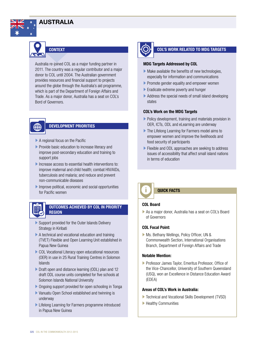

### **CONTEXT**

Australia re-joined COL as a major funding partner in 2011. The country was a regular contributor and a major donor to COL until 2004. The Australian government provides resources and financial support to projects around the globe through the Australia's aid programme, which is part of the Department of Foreign Affairs and Trade. As a major donor, Australia has a seat on COL's Bord of Governors.

### ∰

#### DEVELOPMENT PRIORITIES

- ▶ A regional focus on the Pacific
- ▶ Provide basic education to increase literacy and improve post-secondary education and training to support jobs
- ► Increase access to essential health interventions to: improve maternal and child health; combat HIV/AIDs, tuberculosis and malaria; and reduce and prevent non-communicable diseases
- ► Improve political, economic and social opportunities for Pacific women



#### OUTCOMES ACHIEVED BY COL IN PRIORITY **REGION**

- ▶ Support provided for the Outer Islands Delivery Strategy in Kiribati
- ▶ A technical and vocational education and training (TVET) Flexible and Open Learning Unit established in Papua New Guinea
- ► COL Vocational Literacy open educational resources (OER) in use in 25 Rural Training Centres in Solomon Islands
- ► Draft open and distance learning (ODL) plan and 12 draft ODL course units completed for five schools at Solomon Islands National University
- ▶ Ongoing support provided for open schooling in Tonga
- ► Vanuatu Open School established and twinning is underway
- ► Lifelong Learning for Farmers programme introduced in Papua New Guinea



#### COL'S WORK RELATED TO MDG TARGETS

#### MDG Targets Addressed by COL

- $\blacktriangleright$  Make available the benefits of new technologies, especially for information and communications
- ▶ Promote gender equality and empower women
- ► Eradicate extreme poverty and hunger
- ► Address the special needs of small island developing states

#### COL's Work on the MDG Targets

- ► Policy development, training and materials provision in OER, ICTs, ODL and eLearning are underway
- ► The Lifelong Learning for Farmers model aims to empower women and improve the livelihoods and food security of participants
- ▶ Flexible and ODL approaches are seeking to address issues of accessibility that affect small island nations in terms of education



#### QUICK FACTS

#### COL Board

► As a major donor, Australia has a seat on COL's Board of Governors

#### COL Focal Point:

► Ms. Bethany Wellings, Policy Officer, UN & Commonwealth Section, International Organisations Branch, Department of Foreign Affairs and Trade

#### Notable Mention:

► Professor James Taylor, Emeritus Professor, Office of the Vice-Chancellor, University of Southern Queensland (USQ), won an Excellence in Distance Education Award (EDEA)

#### Areas of COL's Work in Australia:

- ► Technical and Vocational Skills Development (TVSD)
- ► Healthy Communities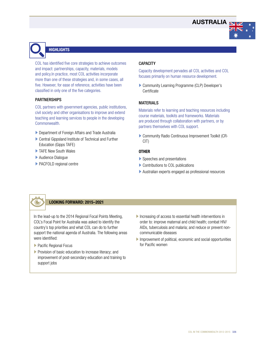#### **AUSTRALIA**

### **HIGHLIGHTS**

COL has identified five core strategies to achieve outcomes and impact: partnerships, capacity, materials, models and policy.In practice, most COL activities incorporate more than one of these strategies and, in some cases, all five. However, for ease of reference, activities have been classified in only one of the five categories.

#### PARTNERSHIPS

COL partners with government agencies, public institutions, civil society and other organisations to improve and extend teaching and learning services to people in the developing Commonwealth.

- ► Department of Foreign Affairs and Trade Australia
- ▶ Central Gippsland Institute of Technical and Further Education (Gipps TAFE)
- ► TAFE New South Wales
- ► Audience Dialogue
- ► PACFOLD regional centre

#### **CAPACITY**

Capacity development pervades all COL activities and COL focuses primarily on human resource development.

► Community Learning Programme (CLP) Developer's **Certificate** 

#### MATERIALS

Materials refer to learning and teaching resources including course materials, toolkits and frameworks. Materials are produced through collaboration with partners, or by partners themselves with COL support.

▶ Community Radio Continuous Improvement Toolkit (CR-CIT)

#### **OTHER**

- ► Speeches and presentations
- ► Contributions to COL publications
- ► Australian experts engaged as professional resources



#### LOOKING FORWARD: 2015–2021

In the lead-up to the 2014 Regional Focal Points Meeting, COL's Focal Point for Australia was asked to identify the country's top priorities and what COL can do to further support the national agenda of Australia. The following areas were identified:

- ► Pacific Regional Focus
- ► Provision of basic education to increase literacy; and improvement of post-secondary education and training to support jobs
- ► Increasing of access to essential health interventions in order to: improve maternal and child health; combat HIV/ AIDs, tuberculosis and malaria; and reduce or prevent noncommunicable diseases
- ▶ Improvement of political, economic and social opportunities for Pacific women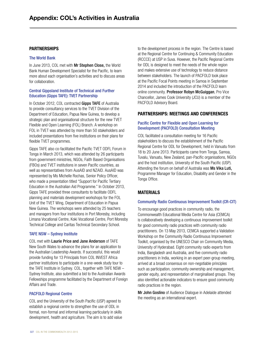#### **PARTNERSHIPS**

#### The World Bank

In June 2013, COL met with Mr Stephen Close, the World Bank Human Development Specialist for the Pacific, to learn more about each organisation's activities and to discuss areas for collaboration.

#### Central Gippsland Institute of Technical and Further Education (Gipps TAFE): TVET Partnership

In October 2012, COL contracted Gipps TAFE of Australia to provide consultancy services to the TVET Division of the Department of Education, Papua New Guinea, to develop a strategic plan and organisational structure for the new TVET Flexible and Open Learning (FOL) Branch. A workshop on FOL in TVET was attended by more than 50 stakeholders and included presentations from five institutions on their plans for flexible TVET programmes.

Gipps TAFE also co-facilitated the Pacific TVET ODFL Forum in Tonga in March 2013, which was attended by 26 participants from government ministries, NGOs, Faith Based Organisations (FBOs) and TVET institutions in seven Pacific countries, as well as representatives from AusAID and NZAID. AusAID was represented by Ms Michelle Rochas, Senior Policy Officer, who made a presentation titled "Support for Pacific Tertiary Education in the Australian Aid Programme." In October 2013, Gipps TAFE provided three consultants to facilitate ODFL planning and materials development workshops for the FOL Unit of the TVET Wing, Department of Education in Papua New Guinea. The workshops were attended by 25 teachers and managers from four institutions in Port Moresby, including Limana Vocational Centre, Koki Vocational Centre, Port Moresby Technical College and Caritas Technical Secondary School.

#### TAFE NSW – Sydney Institute

COL met with Laurie Price and Jane Anderson of TAFE New South Wales to advance the plans for an application to the Australian Leadership Awards. If successful, this would provide funding for 13 Principals from COL INVEST Africa partner institutions to participate in a one-week study tour to the TAFE Institute in Sydney. COL, together with TAFE NSW – Sydney Institute, also submitted a bid to the Australian Awards Fellowships programme facilitated by the Department of Foreign Affairs and Trade.

#### PACFOLD Regional Centre

COL and the University of the South Pacific (USP) agreed to establish a regional centre to strengthen the use of ODL in formal, non-formal and informal learning particularly in skills development, health and agriculture. The aim is to add value

to the development process in the region. The Centre is based at the Regional Centre for Continuing & Community Education (RCCCE) at USP in Suva. However, the Pacific Regional Centre for ODL is designed to meet the needs of the whole region and makes extensive use of technology to reduce distance between stakeholders. The launch of PACFOLD took place at the Pacific Focal Points meeting in Samoa in September 2014 and included the introduction of the PACFOLD learn online community. Professor Robyn McGuiggan, Pro Vice Chancellor, James Cook University (JCU) is a member of the PACFOLD Advisory Board.

#### PARTNERSHIPS: MEETINGS AND CONFERENCES

#### Pacific Centre for Flexible and Open Learning for Development (PACFOLD) Consultation Meeting

COL facilitated a consultation meeting for 16 Pacific stakeholders to discuss the establishment of the Pacific Regional Centre for ODL for Development, held in Vanuatu from 18 to 20 June 2013. Participants came from Tonga, Samoa, Tuvalu, Vanuatu, New Zealand, pan-Pacific organisations, NGOs and the host institution, University of the South Pacific (USP). Attending the forum on behalf of Australia was Ms Vika Luti, Programme Manager for Education, Disability and Gender in the Tonga Office.

#### MATERIALS

#### Community Radio Continuous Improvement Toolkit (CR-CIT)

To encourage good practices in community radio, the Commonwealth Educational Media Centre for Asia (CEMCA) is collaboratively developing a continuous improvement toolkit for good community radio practices with community radio practitioners. On 13 May 2013, CEMCA supported a Validation Workshop on the Community Radio Continuous Improvement Toolkit, organised by the UNESCO Chair on Community Media, University of Hyderabad. Eight community radio experts from India, Bangladesh and Australia, and five community radio practitioners in India, working in an expert peer-group meeting, arrived at a broad consensus on non-negotiable principles such as participation, community ownership and management, gender equity, and representation of marginalised groups. They also identified actionable indicators to ensure good community radio practices in the region.

Mr John Goslino of Audience Dialogue in Adelaide attended the meeting as an international expert.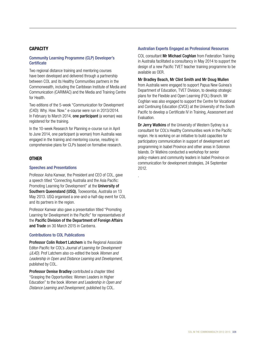#### **CAPACITY**

#### Community Learning Programme (CLP) Developer's **Certificate**

Two regional distance training and mentoring courses have been developed and delivered through a partnership between COL and its Healthy Communities partners in the Commonwealth, including the Caribbean Institute of Media and Communication (CARIMAC) and the Media and Training Centre for Health.

Two editions of the 5-week "Communication for Development (C4D): Why. How. Now." e-course were run in 2013/2014. In February to March 2014, **one participant** (a woman) was registered for the training.

In the 10-week Research for Planning e-course run in April to June 2014, one participant (a woman) from Australia was engaged in the training and mentoring course, resulting in comprehensive plans for CLPs based on formative research.

#### **OTHER**

#### Speeches and Presentations

Professor Asha Kanwar, the President and CEO of COL, gave a speech titled "Connecting Australia and the Asia Pacific: Promoting Learning for Development" at the **University of** Southern Queensland (USQ), Toowoomba, Australia on 13 May 2013. USQ organised a one-and-a-half-day event for COL and its partners in the region.

Professor Kanwar also gave a presentation titled "Promoting Learning for Development in the Pacific" for representatives of the Pacific Division of the Department of Foreign Affairs and Trade on 30 March 2015 in Canberra.

#### Contributions to COL Publications

Professor Colin Robert Latchem is the Regional Associate Editor-Pacific for COL's *Journal of Learning for Development (JL4D)*. Prof Latchem also co-edited the book *Women and Leadership in Open and Distance Learning and Development,*  published by COL.

Professor Denise Bradley contributed a chapter titled "Grasping the Opportunities: Women Leaders in Higher Education" to the book *Women and Leadership in Open and Distance Learning and Development*, published by COL.

#### Australian Experts Engaged as Professional Resources

COL consultant Mr Michael Coghlan from Federation Training in Australia facilitated a consultancy in May 2014 to support the design of a new Pacific TVET teacher training programme to be available as OER.

Mr Bradley Beach, Mr Clint Smith and Mr Doug Mullen from Australia were engaged to support Papua New Guinea's Department of Education, TVET Division, to develop strategic plans for the Flexible and Open Learning (FOL) Branch. Mr Coghlan was also engaged to support the Centre for Vocational and Continuing Education (CVCE) at the University of the South Pacific to develop a Certificate IV in Training, Assessment and Evaluation.

Dr Jerry Watkins of the University of Western Sydney is a consultant for COL's Healthy Communities work in the Pacific region. He is working on an initiative to build capacities for participatory communication in support of development and programming in Isabel Province and other areas in Solomon Islands. Dr Watkins conducted a workshop for senior policy-makers and community leaders in Isabel Province on communication for development strategies, 24 September 2012.

.